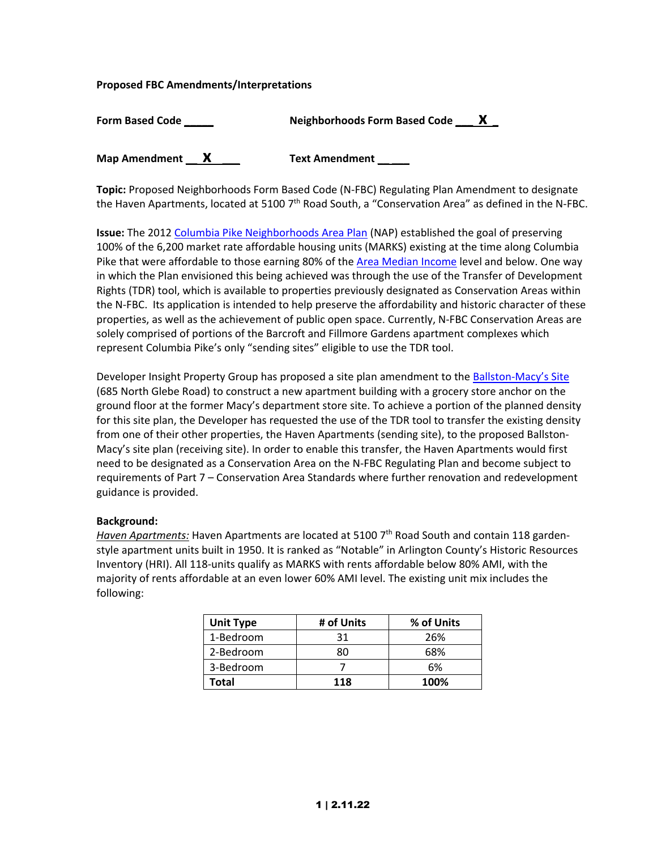#### **Proposed FBC Amendments/Interpretations**

| <b>Form Based Code</b> | $\mathbf{x}$<br><b>Neighborhoods Form Based Code</b> |
|------------------------|------------------------------------------------------|
| <b>Map Amendment</b>   | <b>Text Amendment</b>                                |

**Topic:** Proposed Neighborhoods Form Based Code (N-FBC) Regulating Plan Amendment to designate the Haven Apartments, located at 5100  $7<sup>th</sup>$  Road South, a "Conservation Area" as defined in the N-FBC.

**Issue:** The 2012 [Columbia Pike Neighborhoods Area Plan](https://arlingtonva.s3.amazonaws.com/wp-content/uploads/sites/31/2014/03/Columbia-Pike.pdf) (NAP) established the goal of preserving 100% of the 6,200 market rate affordable housing units (MARKS) existing at the time along Columbia Pike that were affordable to those earning 80% of the [Area Median Income](https://www.arlingtonva.us/Government/Programs/Housing/Income-and-Rent-Limits) level and below. One way in which the Plan envisioned this being achieved was through the use of the Transfer of Development Rights (TDR) tool, which is available to properties previously designated as Conservation Areas within the N-FBC. Its application is intended to help preserve the affordability and historic character of these properties, as well as the achievement of public open space. Currently, N-FBC Conservation Areas are solely comprised of portions of the Barcroft and Fillmore Gardens apartment complexes which represent Columbia Pike's only "sending sites" eligible to use the TDR tool.

Developer Insight Property Group has proposed a site plan amendment to the Ballston-[Macy's Site](https://www.arlingtonva.us/Government/Projects/Project-Types/Site-Plan/701-N-Glebe-Road) (685 North Glebe Road) to construct a new apartment building with a grocery store anchor on the ground floor at the former Macy's department store site. To achieve a portion of the planned density for this site plan, the Developer has requested the use of the TDR tool to transfer the existing density from one of their other properties, the Haven Apartments (sending site), to the proposed Ballston-Macy's site plan (receiving site). In order to enable this transfer, the Haven Apartments would first need to be designated as a Conservation Area on the N-FBC Regulating Plan and become subject to requirements of Part 7 – Conservation Area Standards where further renovation and redevelopment guidance is provided.

#### **Background:**

Haven Apartments: Haven Apartments are located at 5100 7<sup>th</sup> Road South and contain 118 gardenstyle apartment units built in 1950. It is ranked as "Notable" in Arlington County's Historic Resources Inventory (HRI). All 118-units qualify as MARKS with rents affordable below 80% AMI, with the majority of rents affordable at an even lower 60% AMI level. The existing unit mix includes the following:

| <b>Unit Type</b> | # of Units | % of Units |
|------------------|------------|------------|
| 1-Bedroom        | 31         | 26%        |
| 2-Bedroom        | ጸበ         | 68%        |
| 3-Bedroom        |            | 6%         |
| Total            | 118        | 100%       |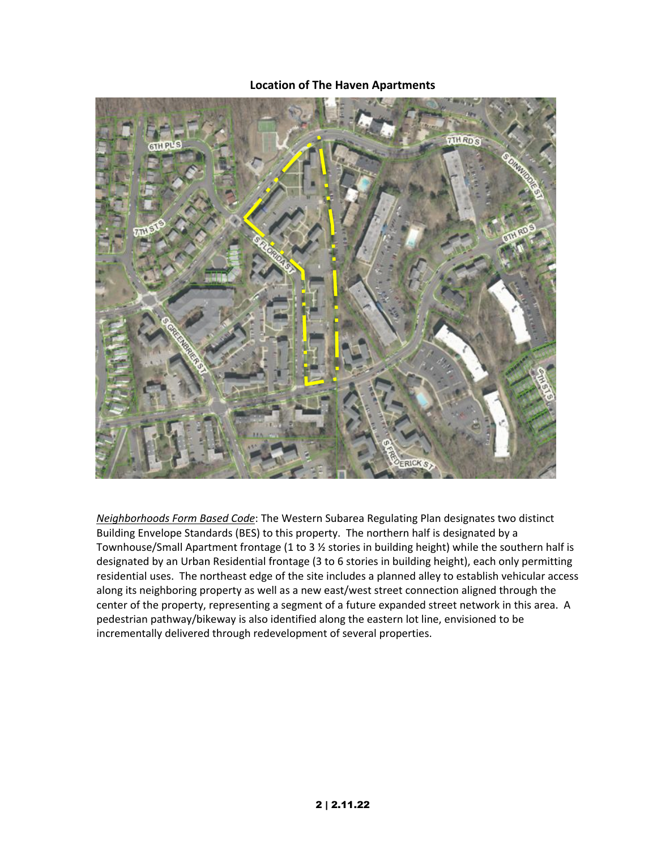## **Location of The Haven Apartments**



*Neighborhoods Form Based Code*: The Western Subarea Regulating Plan designates two distinct Building Envelope Standards (BES) to this property. The northern half is designated by a Townhouse/Small Apartment frontage (1 to 3 ½ stories in building height) while the southern half is designated by an Urban Residential frontage (3 to 6 stories in building height), each only permitting residential uses. The northeast edge of the site includes a planned alley to establish vehicular access along its neighboring property as well as a new east/west street connection aligned through the center of the property, representing a segment of a future expanded street network in this area. A pedestrian pathway/bikeway is also identified along the eastern lot line, envisioned to be incrementally delivered through redevelopment of several properties.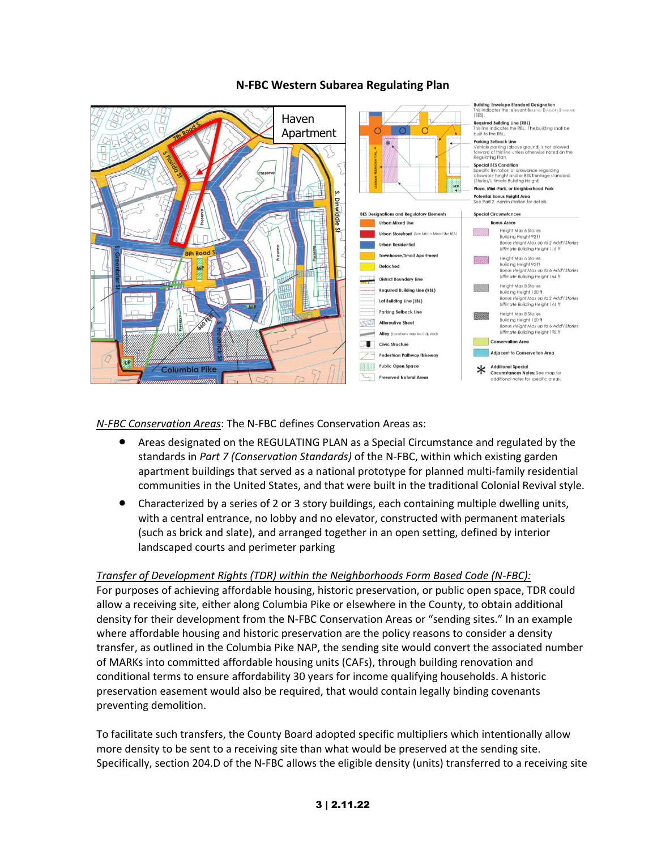

# **N-FBC Western Subarea Regulating Plan**

*N-FBC Conservation Areas*: The N-FBC defines Conservation Areas as:

- Areas designated on the REGULATING PLAN as a Special Circumstance and regulated by the standards in *Part 7 (Conservation Standards)* of the N-FBC, within which existing garden apartment buildings that served as a national prototype for planned multi-family residential communities in the United States, and that were built in the traditional Colonial Revival style.
- Characterized by a series of 2 or 3 story buildings, each containing multiple dwelling units, with a central entrance, no lobby and no elevator, constructed with permanent materials (such as brick and slate), and arranged together in an open setting, defined by interior landscaped courts and perimeter parking

## *Transfer of Development Rights (TDR) within the Neighborhoods Form Based Code (N-FBC):*

For purposes of achieving affordable housing, historic preservation, or public open space, TDR could allow a receiving site, either along Columbia Pike or elsewhere in the County, to obtain additional density for their development from the N-FBC Conservation Areas or "sending sites." In an example where affordable housing and historic preservation are the policy reasons to consider a density transfer, as outlined in the Columbia Pike NAP, the sending site would convert the associated number of MARKs into committed affordable housing units (CAFs), through building renovation and conditional terms to ensure affordability 30 years for income qualifying households. A historic preservation easement would also be required, that would contain legally binding covenants preventing demolition.

To facilitate such transfers, the County Board adopted specific multipliers which intentionally allow more density to be sent to a receiving site than what would be preserved at the sending site. Specifically, section 204.D of the N-FBC allows the eligible density (units) transferred to a receiving site

## 3 | 2.11.22